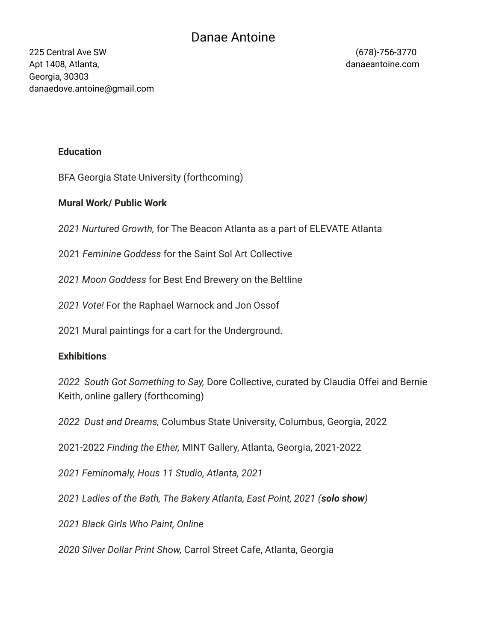## Danae Antoine

225 Central Ave SW (678)-756-3770 Apt 1408, Atlanta, danaeantoine.com Georgia, 30303 danaedove.antoine@gmail.com

#### **Education**

BFA Georgia State University (forthcoming)

### **Mural Work/ Public Work**

*2021 Nurtured Growth,* for The Beacon Atlanta as a part of ELEVATE Atlanta

2021 *Feminine Goddess* for the Saint Sol Art Collective

*2021 Moon Goddess* for Best End Brewery on the Beltline

*2021 Vote!* For the Raphael Warnock and Jon Ossof

2021 Mural paintings for a cart for the Underground.

#### **Exhibitions**

*2022 South Got Something to Say,* Dore Collective, curated by Claudia Offei and Bernie Keith, online gallery (forthcoming)

*2022 Dust and Dreams,* Columbus State University, Columbus, Georgia, 2022

2021-2022 *Finding the Ether,* MINT Gallery, Atlanta, Georgia, 2021-2022

*2021 Feminomaly, Hous 11 Studio, Atlanta, 2021*

*2021 Ladies of the Bath, The Bakery Atlanta, East Point, 2021 (solo show)*

*2021 Black Girls Who Paint, Online*

*2020 Silver Dollar Print Show,* Carrol Street Cafe, Atlanta, Georgia